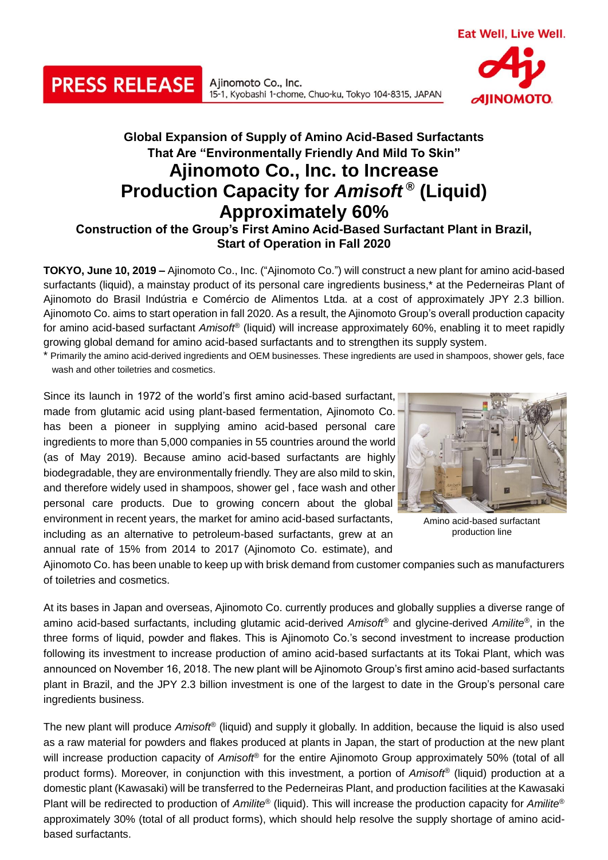Ajinomoto Co., Inc. 15-1, Kyobashi 1-chome, Chuo-ku, Tokyo 104-8315, JAPAN **AIINOMOTO** 

## **Global Expansion of Supply of Amino Acid-Based Surfactants That Are "Environmentally Friendly And Mild To Skin" Ajinomoto Co., Inc. to Increase Production Capacity for** *Amisoft* **® (Liquid) Approximately 60% Construction of the Group's First Amino Acid-Based Surfactant Plant in Brazil,**

**Start of Operation in Fall 2020**

**TOKYO, June 10, 2019 –** Ajinomoto Co., Inc. ("Ajinomoto Co.") will construct a new plant for amino acid-based surfactants (liquid), a mainstay product of its personal care ingredients business,\* at the Pederneiras Plant of Ajinomoto do Brasil Indústria e Comércio de Alimentos Ltda. at a cost of approximately JPY 2.3 billion. Ajinomoto Co. aims to start operation in fall 2020. As a result, the Ajinomoto Group's overall production capacity for amino acid-based surfactant *Amisoft*® (liquid) will increase approximately 60%, enabling it to meet rapidly growing global demand for amino acid-based surfactants and to strengthen its supply system.

\* Primarily the amino acid-derived ingredients and OEM businesses. These ingredients are used in shampoos, shower gels, face wash and other toiletries and cosmetics.

Since its launch in 1972 of the world's first amino acid-based surfactant, made from glutamic acid using plant-based fermentation, Ajinomoto Co. has been a pioneer in supplying amino acid-based personal care ingredients to more than 5,000 companies in 55 countries around the world (as of May 2019). Because amino acid-based surfactants are highly biodegradable, they are environmentally friendly. They are also mild to skin, and therefore widely used in shampoos, shower gel , face wash and other personal care products. Due to growing concern about the global environment in recent years, the market for amino acid-based surfactants, including as an alternative to petroleum-based surfactants, grew at an annual rate of 15% from 2014 to 2017 (Ajinomoto Co. estimate), and

**PRESS RELEASE** 



Amino acid-based surfactant production line

Ajinomoto Co. has been unable to keep up with brisk demand from customer companies such as manufacturers of toiletries and cosmetics.

At its bases in Japan and overseas, Ajinomoto Co. currently produces and globally supplies a diverse range of amino acid-based surfactants, including glutamic acid-derived *Amisoft*® and glycine-derived *Amilite*®, in the three forms of liquid, powder and flakes. This is Ajinomoto Co.'s second investment to increase production following its investment to increase production of amino acid-based surfactants at its Tokai Plant, which was announced on November 16, 2018. The new plant will be Ajinomoto Group's first amino acid-based surfactants plant in Brazil, and the JPY 2.3 billion investment is one of the largest to date in the Group's personal care ingredients business.

The new plant will produce *Amisoft*® (liquid) and supply it globally. In addition, because the liquid is also used as a raw material for powders and flakes produced at plants in Japan, the start of production at the new plant will increase production capacity of *Amisoft*® for the entire Ajinomoto Group approximately 50% (total of all product forms). Moreover, in conjunction with this investment, a portion of *Amisoft*® (liquid) production at a domestic plant (Kawasaki) will be transferred to the Pederneiras Plant, and production facilities at the Kawasaki Plant will be redirected to production of *Amilite*® (liquid). This will increase the production capacity for *Amilite*® approximately 30% (total of all product forms), which should help resolve the supply shortage of amino acidbased surfactants.